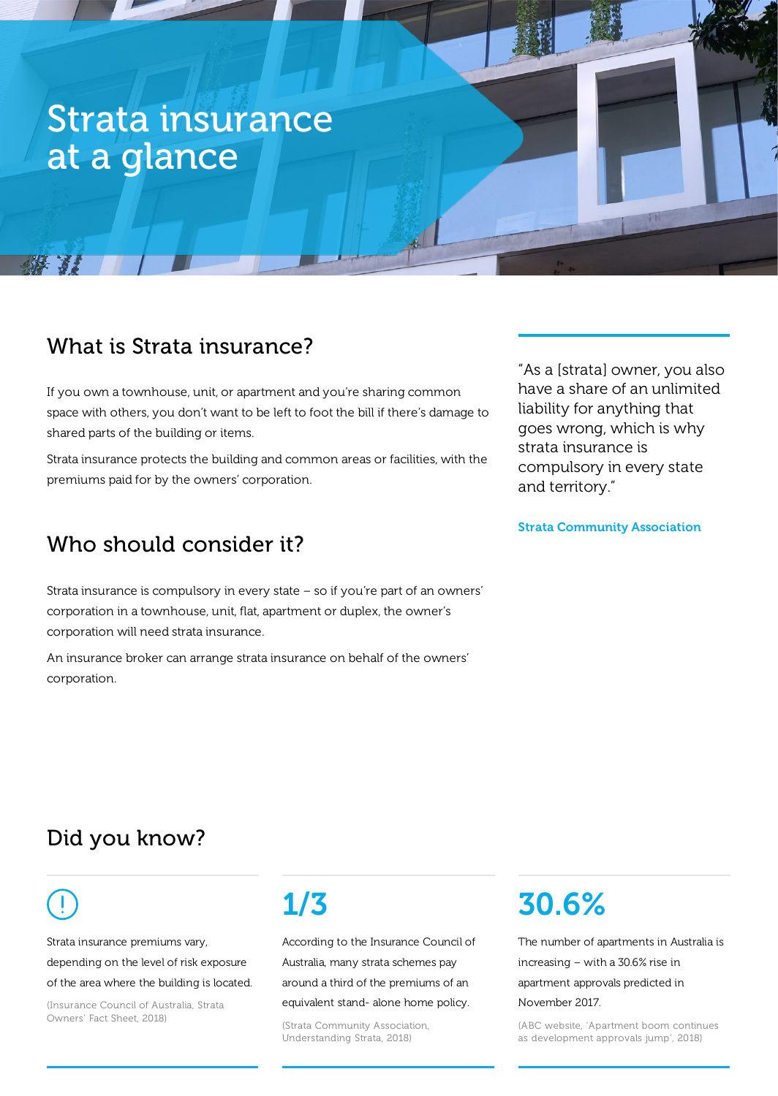# Strata insurance at a glance

### What is Strata insurance?

If you own a townhouse, unit, or apartment and you're sharing common space with others, you don't want to be left to foot the bill if there's damage to shared parts of the building or items.

Strata insurance protects the building and common areas or facilities, with the premiums paid for by the owners' corporation.

## Who should consider it?

Strata insurance is compulsory in every state – so if you're part of an owners' corporation in a townhouse, unit, flat, apartment or duplex, the owner's corporation will need strata insurance.

An insurance broker can arrange strata insurance on behalf of the owners' corporation.

"As a [strata] owner, you also have a share of an unlimited liability for anything that goes wrong, which is why strata insurance is compulsory in every state and territory."

Strata Community Association

## Did you know?

**ALL 32** 

Strata insurance premiums vary, depending on the level of risk exposure of the area where the building is located.

(Insurance Council of Australia, Strata Owners' Fact Sheet, 2018)

# 1/3

According to the Insurance Council of Australia, many strata schemes pay around a third of the premiums of an equivalent stand- alone home policy.

(Strata Community Association, Understanding Strata, 2018)

# 30.6%

The number of apartments in Australia is increasing – with a 30.6% rise in apartment approvals predicted in November 2017.

(ABC website, 'Apartment boom continues as development approvals jump', 2018)